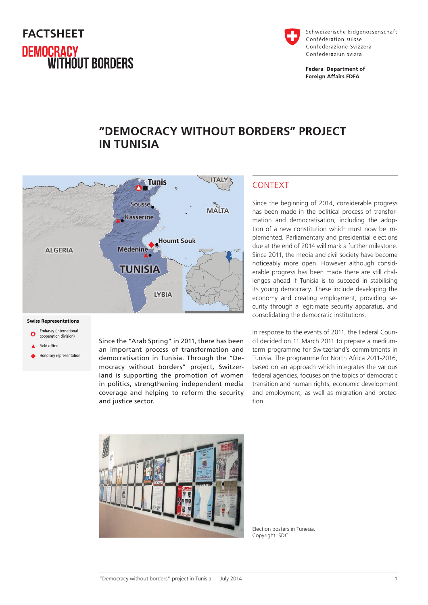# **FACTSHEET DEMOCRACY<br>WITHOUT BORDERS**



Schweizerische Eidgenossenschaft Confédération suisse Confederazione Svizzera Confederaziun svizra

**Federal Department of Foreign Affairs FDFA** 

## **"DEMOCRACY WITHOUT BORDERS" PROJECT IN TUNISIA**



#### **Swiss Representations**

- Embassy (International cooperation division)
- Field office
- Honorary representation

Since the "Arab Spring" in 2011, there has been an important process of transformation and democratisation in Tunisia. Through the "Democracy without borders" project, Switzerland is supporting the promotion of women in politics, strengthening independent media coverage and helping to reform the security and justice sector.

#### CONTEXT

Since the beginning of 2014, considerable progress has been made in the political process of transformation and democratisation, including the adoption of a new constitution which must now be implemented. Parliamentary and presidential elections due at the end of 2014 will mark a further milestone. Since 2011, the media and civil society have become noticeably more open. However although considerable progress has been made there are still challenges ahead if Tunisia is to succeed in stabilising its young democracy. These include developing the economy and creating employment, providing security through a legitimate security apparatus, and consolidating the democratic institutions.

In response to the events of 2011, the Federal Council decided on 11 March 2011 to prepare a mediumterm programme for Switzerland's commitments in Tunisia. The programme for North Africa 2011-2016, based on an approach which integrates the various federal agencies, focuses on the topics of democratic transition and human rights, economic development and employment, as well as migration and protection.



Election posters in Tunesia. Copyright: SDC